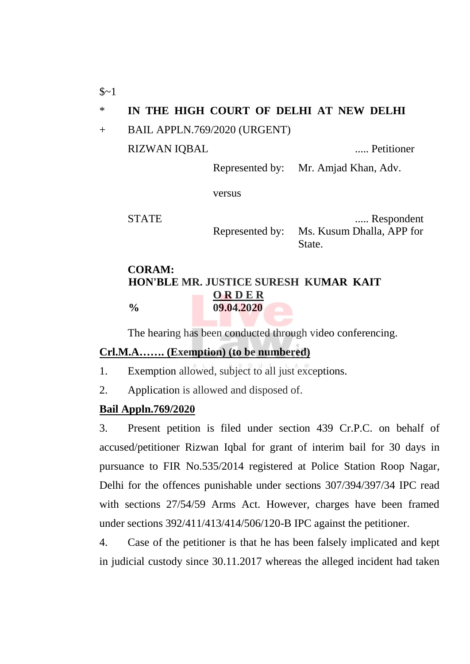\* **IN THE HIGH COURT OF DELHI AT NEW DELHI**

+ BAIL APPLN.769/2020 (URGENT)

RIZWAN IQBAL ..... Petitioner

Represented by: Mr. Amjad Khan, Adv.

versus

STATE ..... Respondent Represented by: Ms. Kusum Dhalla, APP for State.

## **CORAM: HON'BLE MR. JUSTICE SURESH KUMAR KAIT O R D E R % 09.04.2020**

The hearing has been conducted through video conferencing.

## **Crl.M.A……. (Exemption) (to be numbered)**

- 1. Exemption allowed, subject to all just exceptions.
- 2. Application is allowed and disposed of.

## **Bail Appln.769/2020**

3. Present petition is filed under section 439 Cr.P.C. on behalf of accused/petitioner Rizwan Iqbal for grant of interim bail for 30 days in pursuance to FIR No.535/2014 registered at Police Station Roop Nagar, Delhi for the offences punishable under sections 307/394/397/34 IPC read with sections 27/54/59 Arms Act. However, charges have been framed under sections 392/411/413/414/506/120-B IPC against the petitioner.

4. Case of the petitioner is that he has been falsely implicated and kept in judicial custody since 30.11.2017 whereas the alleged incident had taken

 $$~1$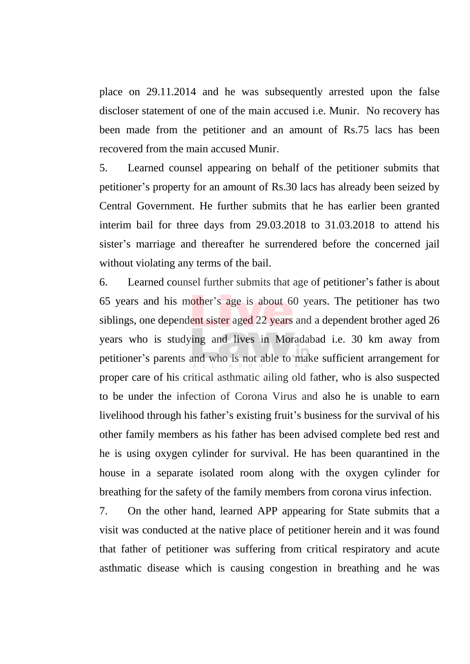place on 29.11.2014 and he was subsequently arrested upon the false discloser statement of one of the main accused i.e. Munir. No recovery has been made from the petitioner and an amount of Rs.75 lacs has been recovered from the main accused Munir.

5. Learned counsel appearing on behalf of the petitioner submits that petitioner's property for an amount of Rs.30 lacs has already been seized by Central Government. He further submits that he has earlier been granted interim bail for three days from 29.03.2018 to 31.03.2018 to attend his sister's marriage and thereafter he surrendered before the concerned jail without violating any terms of the bail.

6. Learned counsel further submits that age of petitioner's father is about 65 years and his mother's age is about 60 years. The petitioner has two siblings, one dependent sister aged 22 years and a dependent brother aged 26 years who is studying and lives in Moradabad i.e. 30 km away from petitioner's parents and who is not able to make sufficient arrangement for proper care of his critical asthmatic ailing old father, who is also suspected to be under the infection of Corona Virus and also he is unable to earn livelihood through his father's existing fruit's business for the survival of his other family members as his father has been advised complete bed rest and he is using oxygen cylinder for survival. He has been quarantined in the house in a separate isolated room along with the oxygen cylinder for breathing for the safety of the family members from corona virus infection.

7. On the other hand, learned APP appearing for State submits that a visit was conducted at the native place of petitioner herein and it was found that father of petitioner was suffering from critical respiratory and acute asthmatic disease which is causing congestion in breathing and he was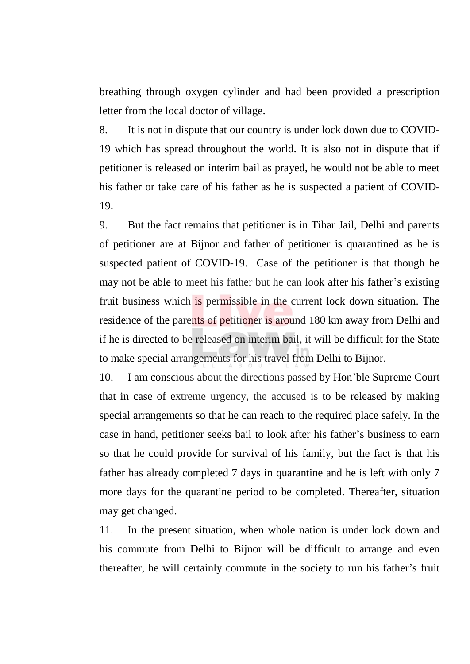breathing through oxygen cylinder and had been provided a prescription letter from the local doctor of village.

8. It is not in dispute that our country is under lock down due to COVID-19 which has spread throughout the world. It is also not in dispute that if petitioner is released on interim bail as prayed, he would not be able to meet his father or take care of his father as he is suspected a patient of COVID-19.

9. But the fact remains that petitioner is in Tihar Jail, Delhi and parents of petitioner are at Bijnor and father of petitioner is quarantined as he is suspected patient of COVID-19. Case of the petitioner is that though he may not be able to meet his father but he can look after his father's existing fruit business which is permissible in the current lock down situation. The residence of the parents of petitioner is around 180 km away from Delhi and if he is directed to be released on interim bail, it will be difficult for the State to make special arrangements for his travel from Delhi to Bijnor.

10. I am conscious about the directions passed by Hon'ble Supreme Court that in case of extreme urgency, the accused is to be released by making special arrangements so that he can reach to the required place safely. In the case in hand, petitioner seeks bail to look after his father's business to earn so that he could provide for survival of his family, but the fact is that his father has already completed 7 days in quarantine and he is left with only 7 more days for the quarantine period to be completed. Thereafter, situation may get changed.

11. In the present situation, when whole nation is under lock down and his commute from Delhi to Bijnor will be difficult to arrange and even thereafter, he will certainly commute in the society to run his father's fruit